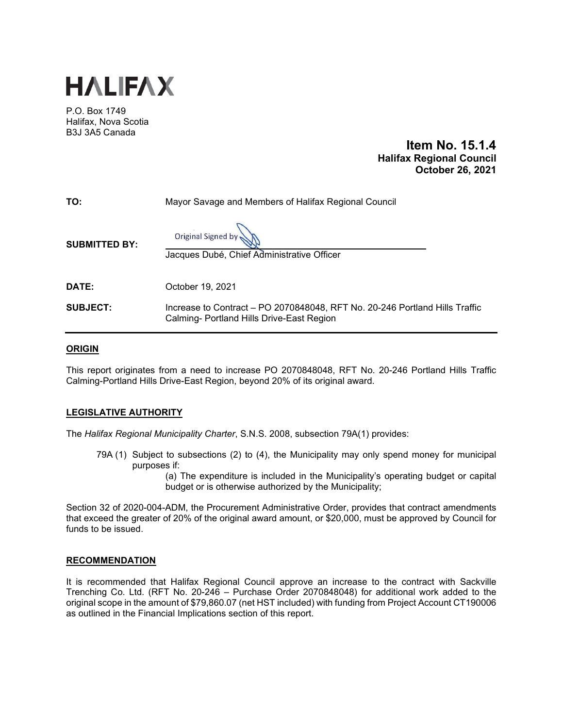

P.O. Box 1749 Halifax, Nova Scotia B3J 3A5 Canada

# **Item No. 15.1.4 Halifax Regional Council October 26, 2021**

| TO:                  | Mayor Savage and Members of Halifax Regional Council                                                                     |
|----------------------|--------------------------------------------------------------------------------------------------------------------------|
| <b>SUBMITTED BY:</b> | Original Signed by<br>Jacques Dubé, Chief Administrative Officer                                                         |
| DATE:                | October 19, 2021                                                                                                         |
| <b>SUBJECT:</b>      | Increase to Contract – PO 2070848048, RFT No. 20-246 Portland Hills Traffic<br>Calming- Portland Hills Drive-East Region |

### **ORIGIN**

This report originates from a need to increase PO 2070848048, RFT No. 20-246 Portland Hills Traffic Calming-Portland Hills Drive-East Region, beyond 20% of its original award.

# **LEGISLATIVE AUTHORITY**

The *Halifax Regional Municipality Charter*, S.N.S. 2008, subsection 79A(1) provides:

79A (1) Subject to subsections (2) to (4), the Municipality may only spend money for municipal purposes if:

> (a) The expenditure is included in the Municipality's operating budget or capital budget or is otherwise authorized by the Municipality;

Section 32 of 2020-004-ADM, the Procurement Administrative Order, provides that contract amendments that exceed the greater of 20% of the original award amount, or \$20,000, must be approved by Council for funds to be issued.

### **RECOMMENDATION**

It is recommended that Halifax Regional Council approve an increase to the contract with Sackville Trenching Co. Ltd. (RFT No. 20-246 – Purchase Order 2070848048) for additional work added to the original scope in the amount of \$79,860.07 (net HST included) with funding from Project Account CT190006 as outlined in the Financial Implications section of this report.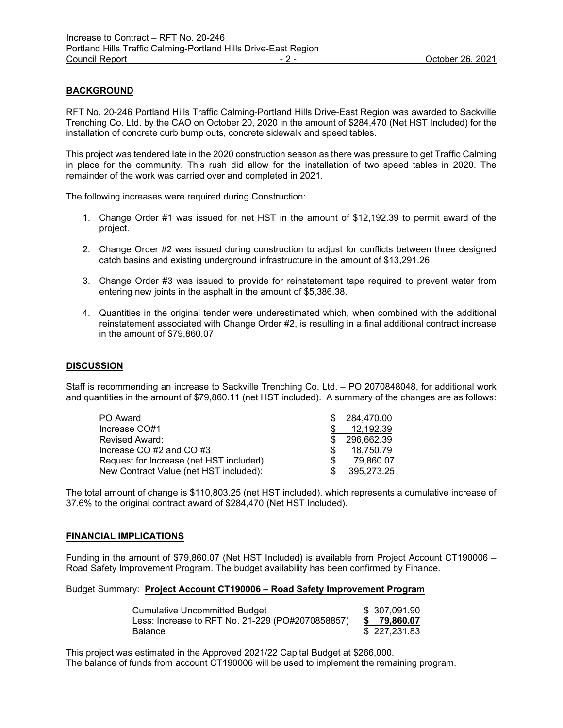## **BACKGROUND**

RFT No. 20-246 Portland Hills Traffic Calming-Portland Hills Drive-East Region was awarded to Sackville Trenching Co. Ltd. by the CAO on October 20, 2020 in the amount of \$284,470 (Net HST Included) for the installation of concrete curb bump outs, concrete sidewalk and speed tables.

This project was tendered late in the 2020 construction season as there was pressure to get Traffic Calming in place for the community. This rush did allow for the installation of two speed tables in 2020. The remainder of the work was carried over and completed in 2021.

The following increases were required during Construction:

- 1. Change Order #1 was issued for net HST in the amount of \$12,192.39 to permit award of the project.
- 2. Change Order #2 was issued during construction to adjust for conflicts between three designed catch basins and existing underground infrastructure in the amount of \$13,291.26.
- 3. Change Order #3 was issued to provide for reinstatement tape required to prevent water from entering new joints in the asphalt in the amount of \$5,386.38.
- 4. Quantities in the original tender were underestimated which, when combined with the additional reinstatement associated with Change Order #2, is resulting in a final additional contract increase in the amount of \$79,860.07.

### **DISCUSSION**

Staff is recommending an increase to Sackville Trenching Co. Ltd. – PO 2070848048, for additional work and quantities in the amount of \$79,860.11 (net HST included). A summary of the changes are as follows:

| PO Award                                 | \$284,470.00 |
|------------------------------------------|--------------|
| Increase CO#1                            | 12,192.39    |
| Revised Award:                           | 296.662.39   |
| Increase CO #2 and CO #3                 | 18.750.79    |
| Request for Increase (net HST included): | 79.860.07    |
| New Contract Value (net HST included):   | 395.273.25   |

The total amount of change is \$110,803.25 (net HST included), which represents a cumulative increase of 37.6% to the original contract award of \$284,470 (Net HST Included).

#### **FINANCIAL IMPLICATIONS**

Funding in the amount of \$79,860.07 (Net HST Included) is available from Project Account CT190006 – Road Safety Improvement Program. The budget availability has been confirmed by Finance.

#### Budget Summary: **Project Account CT190006 – Road Safety Improvement Program**

| Cumulative Uncommitted Budget                    | \$ 307,091.90 |
|--------------------------------------------------|---------------|
| Less: Increase to RFT No. 21-229 (PO#2070858857) | \$79,860.07   |
| Balance                                          | \$227,231.83  |

This project was estimated in the Approved 2021/22 Capital Budget at \$266,000. The balance of funds from account CT190006 will be used to implement the remaining program.